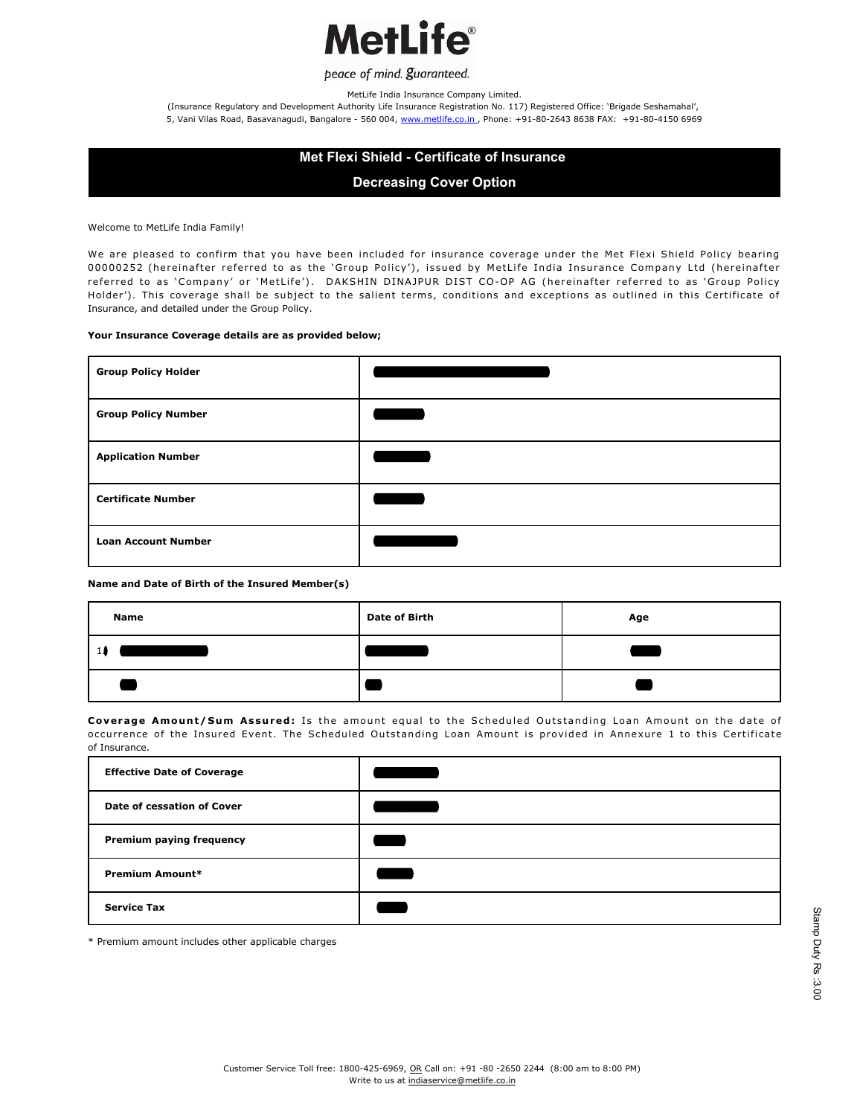

MetLife India Insurance Company Limited.

(Insurance Regulatory and Development Authority Life Insurance Registration No. 117) Registered Office: 'Brigade Seshamahal', 5, Vani Vilas Road, Basavanagudi, Bangalore - 560 004, www.metlife.co.in., Phone: +91-80-2643 8638 FAX: +91-80-4150 6969

# **Met Flexi Shield - Certificate of Insurance**

**Decreasing Cover Option**

Welcome to MetLife India Family!

We are pleased to confirm that you have been included for insurance coverage under the Met Flexi Shield Policy bearing 00000252 (hereinafter referred to as the 'Group Policy'), issued by MetLife India Insurance Company Ltd (hereinafter referred to as 'Company' or 'MetLife'). DAKSHIN DINAJPUR DIST CO-OP AG (hereinafter referred to as 'Group Policy Holder'). This coverage shall be subject to the salient terms, conditions and exceptions as outlined in this Certificate of Insurance, and detailed under the Group Policy.

#### **Your Insurance Coverage details are as provided below;**

| <b>Group Policy Holder</b> |  |
|----------------------------|--|
| <b>Group Policy Number</b> |  |
| <b>Application Number</b>  |  |
| <b>Certificate Number</b>  |  |
| <b>Loan Account Number</b> |  |

#### **Name and Date of Birth of the Insured Member(s)**

| <b>Name</b> | <b>Date of Birth</b> | Age |
|-------------|----------------------|-----|
|             |                      |     |
|             |                      |     |

Coverage Amount/Sum Assured: Is the amount equal to the Scheduled Outstanding Loan Amount on the date of occurrence of the Insured Event. The Scheduled Outstanding Loan Amount is provided in Annexure 1 to this Certificate of Insurance.

| <b>Effective Date of Coverage</b> |  |
|-----------------------------------|--|
| Date of cessation of Cover        |  |
| Premium paying frequency          |  |
| Premium Amount*                   |  |
| <b>Service Tax</b>                |  |

\* Premium amount includes other applicable charges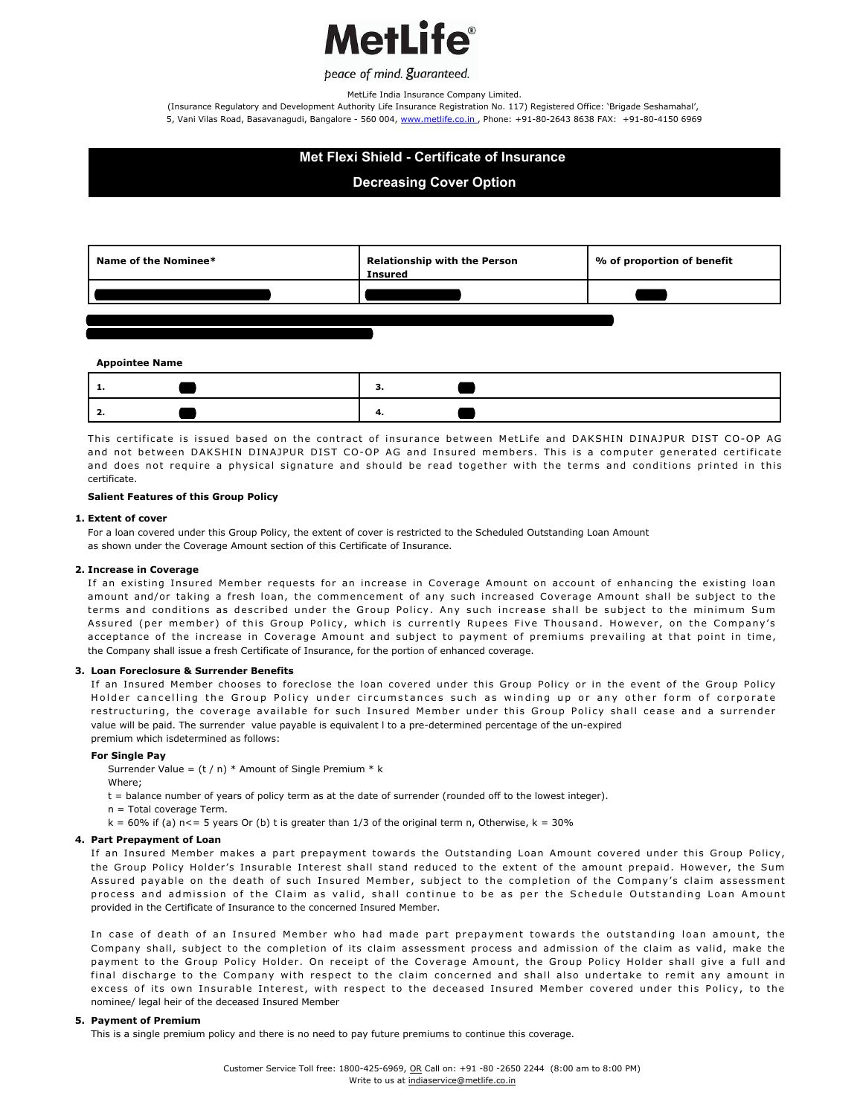

MetLife India Insurance Company Limited.

(Insurance Regulatory and Development Authority Life Insurance Registration No. 117) Registered Office: 'Brigade Seshamahal', 5, Vani Vilas Road, Basavanagudi, Bangalore - 560 004, www.metlife.co.in., Phone: +91-80-2643 8638 FAX: +91-80-4150 6969

# **Met Flexi Shield - Certificate of Insurance**

## **Decreasing Cover Option**



This certificate is issued based on the contract of insurance between MetLife and DAKSHIN DINAJPUR DIST CO-OP AG and not between DAKSHIN DINAJPUR DIST CO-OP AG and Insured members. This is a computer generated certificate and does not require a physical signature and should be read together with the terms and conditions printed in this certificate.

### **Salient Features of this Group Policy**

#### 1. Extent of cover

For a loan covered under this Group Policy, the extent of cover is restricted to the Scheduled Outstanding Loan Amount as shown under the Coverage Amount section of this Certificate of Insurance.

#### **Increase in Coverage 2.**

If an existing Insured Member requests for an increase in Coverage Amount on account of enhancing the existing loan amount and/or taking a fresh loan, the commencement of any such increased Coverage Amount shall be subject to the terms and conditions as described under the Group Policy. Any such increase shall be subject to the minimum Sum Assured (per member) of this Group Policy, which is currently Rupees Five Thousand. However, on the Company's acceptance of the increase in Coverage Amount and subject to payment of premiums prevailing at that point in time, the Company shall issue a fresh Certificate of Insurance, for the portion of enhanced coverage.

#### **Loan Foreclosure & Surrender Benefits 3.**

If an Insured Member chooses to foreclose the loan covered under this Group Policy or in the event of the Group Policy Holder cancelling the Group Policy under circumstances such as winding up or any other form of corporate restructuring, the coverage available for such Insured Member under this Group Policy shall cease and a surrender value will be paid. The surrender value payable is equivalent l to a pre-determined percentage of the un-expired premium which isdetermined as follows:

#### **For Single Pay**

Surrender Value =  $(t / n)$  \* Amount of Single Premium \* k

Where;

t = balance number of years of policy term as at the date of surrender (rounded off to the lowest integer).

- n = Total coverage Term.
- $k = 60%$  if (a) n < = 5 years Or (b) t is greater than 1/3 of the original term n, Otherwise,  $k = 30%$

#### **Part Prepayment of Loan 4.**

If an Insured Member makes a part prepayment towards the Outstanding Loan Amount covered under this Group Policy, the Group Policy Holder's Insurable Interest shall stand reduced to the extent of the amount prepaid. However, the Sum Assured payable on the death of such Insured Member, subject to the completion of the Company's claim assessment process and admission of the Claim as valid, shall continue to be as per the Schedule Outstanding Loan Amount provided in the Certificate of Insurance to the concerned Insured Member.

In case of death of an Insured Member who had made part prepayment towards the outstanding loan amount, the Company shall, subject to the completion of its claim assessment process and admission of the claim as valid, make the payment to the Group Policy Holder. On receipt of the Coverage Amount, the Group Policy Holder shall give a full and final discharge to the Company with respect to the claim concerned and shall also undertake to remit any amount in excess of its own Insurable Interest, with respect to the deceased Insured Member covered under this Policy, to the nominee/ legal heir of the deceased Insured Member

#### **Payment of Premium 5.**

This is a single premium policy and there is no need to pay future premiums to continue this coverage.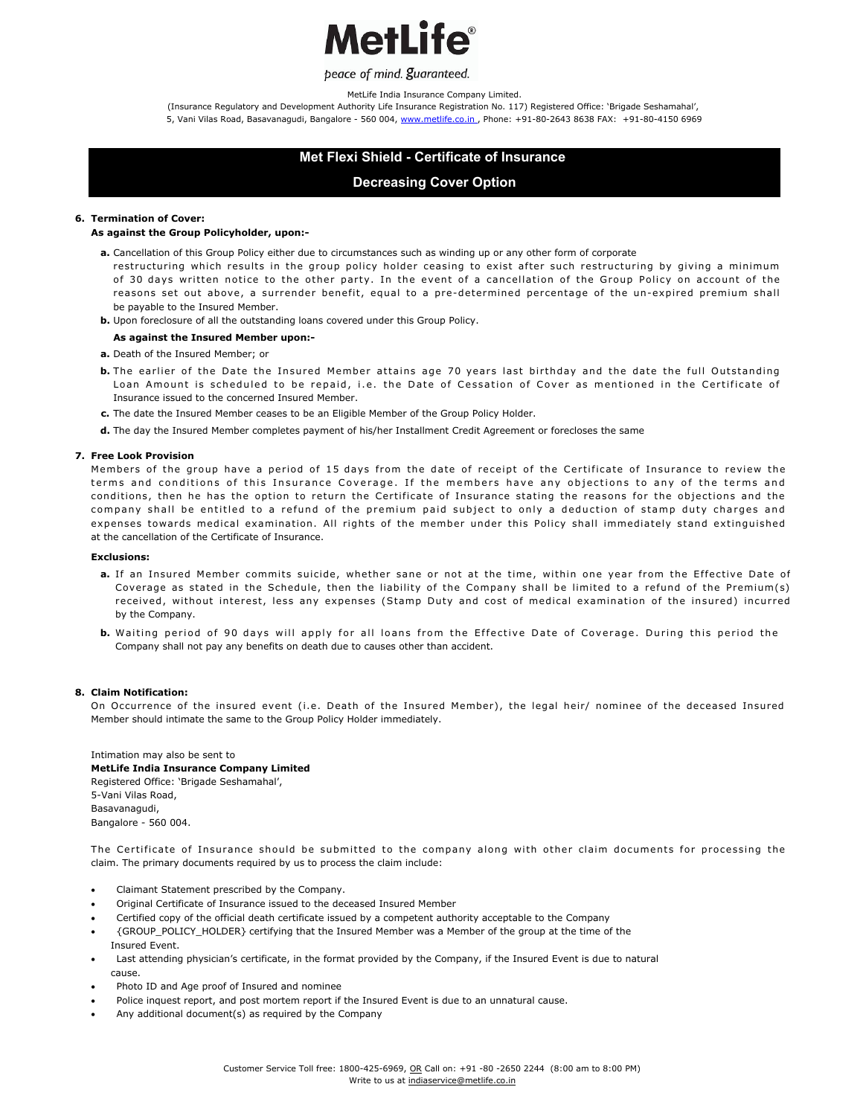

MetLife India Insurance Company Limited.

(Insurance Regulatory and Development Authority Life Insurance Registration No. 117) Registered Office: 'Brigade Seshamahal', 5, Vani Vilas Road, Basavanagudi, Bangalore - 560 004, www.metlife.co.in., Phone: +91-80-2643 8638 FAX: +91-80-4150 6969

# **Met Flexi Shield - Certificate of Insurance**

## **Decreasing Cover Option**

#### **Termination of Cover: 6.**

#### **As against the Group Policyholder, upon:-**

- a. Cancellation of this Group Policy either due to circumstances such as winding up or any other form of corporate
- restructuring which results in the group policy holder ceasing to exist after such restructuring by giving a minimum of 30 days written notice to the other party. In the event of a cancellation of the Group Policy on account of the reasons set out above, a surrender benefit, equal to a pre-determined percentage of the un-expired premium shall be payable to the Insured Member.
- **b.** Upon foreclosure of all the outstanding loans covered under this Group Policy.

### **As against the Insured Member upon:-**

- **a.** Death of the Insured Member; or
- **b.** The earlier of the Date the Insured Member attains age 70 years last birthday and the date the full Outstanding Loan Amount is scheduled to be repaid, i.e. the Date of Cessation of Cover as mentioned in the Certificate of Insurance issued to the concerned Insured Member.
- **c.** The date the Insured Member ceases to be an Eligible Member of the Group Policy Holder.
- **d.** The day the Insured Member completes payment of his/her Installment Credit Agreement or forecloses the same

#### **Free Look Provision 7.**

Members of the group have a period of 15 days from the date of receipt of the Certificate of Insurance to review the terms and conditions of this Insurance Coverage. If the members have any objections to any of the terms and conditions, then he has the option to return the Certificate of Insurance stating the reasons for the objections and the company shall be entitled to a refund of the premium paid subject to only a deduction of stamp duty charges and expenses towards medical examination. All rights of the member under this Policy shall immediately stand extinguished at the cancellation of the Certificate of Insurance.

#### **Exclusions:**

- **a.** If an Insured Member commits suicide, whether sane or not at the time, within one year from the Effective Date of Coverage as stated in the Schedule, then the liability of the Company shall be limited to a refund of the Premium(s) received, without interest, less any expenses (Stamp Duty and cost of medical examination of the insured) incurred by the Company.
- **b.** Waiting period of 90 days will apply for all loans from the Effective Date of Coverage. During this period the Company shall not pay any benefits on death due to causes other than accident.

#### **Claim Notification: 8.**

On Occurrence of the insured event (i.e. Death of the Insured Member), the legal heir/ nominee of the deceased Insured Member should intimate the same to the Group Policy Holder immediately.

Intimation may also be sent to **MetLife India Insurance Company Limited**  Registered Office: 'Brigade Seshamahal', 5-Vani Vilas Road, Basavanagudi, Bangalore - 560 004.

The Certificate of Insurance should be submitted to the company along with other claim documents for processing the claim. The primary documents required by us to process the claim include:

- · Claimant Statement prescribed by the Company.
- · Original Certificate of Insurance issued to the deceased Insured Member
- Certified copy of the official death certificate issued by a competent authority acceptable to the Company
- · {GROUP\_POLICY\_HOLDER} certifying that the Insured Member was a Member of the group at the time of the Insured Event.
- Last attending physician's certificate, in the format provided by the Company, if the Insured Event is due to natural cause.
- Photo ID and Age proof of Insured and nominee
- Police inquest report, and post mortem report if the Insured Event is due to an unnatural cause.
- Any additional document(s) as required by the Company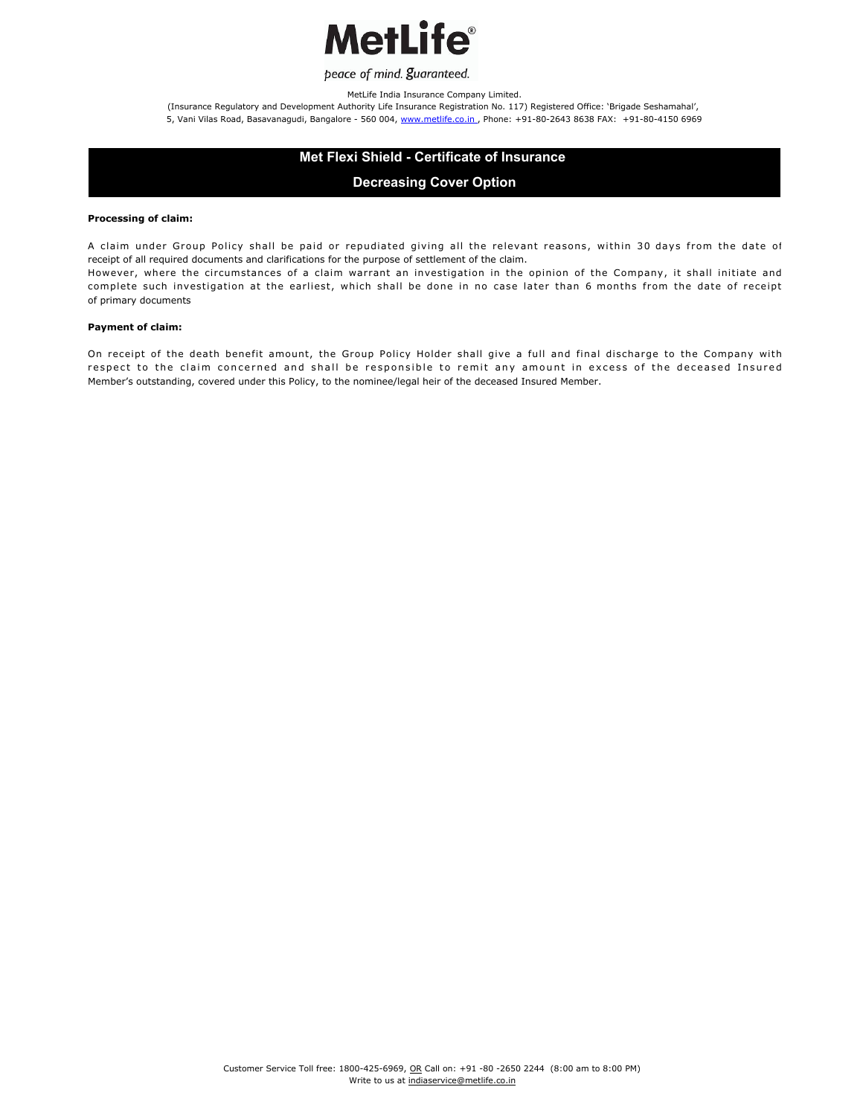

MetLife India Insurance Company Limited.

(Insurance Regulatory and Development Authority Life Insurance Registration No. 117) Registered Office: 'Brigade Seshamahal', 5, Vani Vilas Road, Basavanagudi, Bangalore - 560 004, www.metlife.co.in., Phone: +91-80-2643 8638 FAX: +91-80-4150 6969

# **Met Flexi Shield - Certificate of Insurance**

# **Decreasing Cover Option**

#### **Processing of claim:**

A claim under Group Policy shall be paid or repudiated giving all the relevant reasons, within 30 days from the date of receipt of all required documents and clarifications for the purpose of settlement of the claim.

However, where the circumstances of a claim warrant an investigation in the opinion of the Company, it shall initiate and complete such investigation at the earliest, which shall be done in no case later than 6 months from the date of receipt of primary documents

#### **Payment of claim:**

On receipt of the death benefit amount, the Group Policy Holder shall give a full and final discharge to the Company with respect to the claim concerned and shall be responsible to remit any amount in excess of the deceased Insured Member's outstanding, covered under this Policy, to the nominee/legal heir of the deceased Insured Member.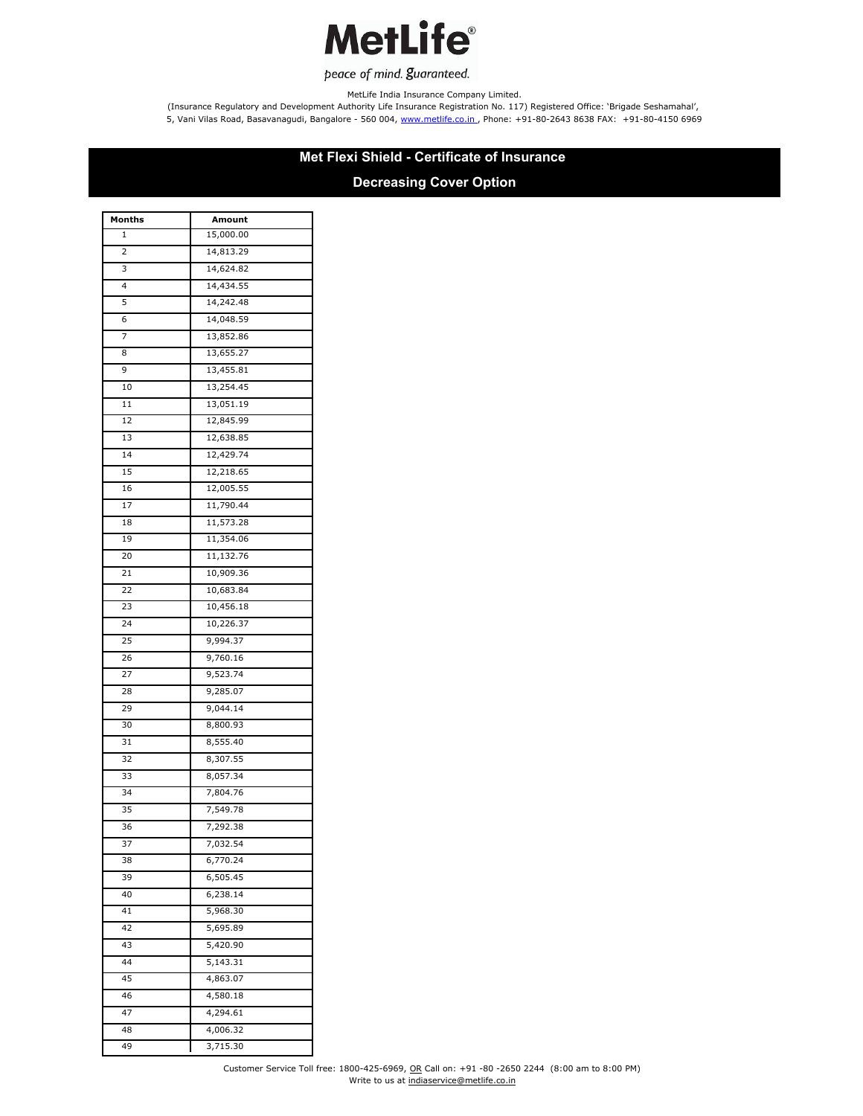

MetLife India Insurance Company Limited.

(Insurance Regulatory and Development Authority Life Insurance Registration No. 117) Registered Office: 'Brigade Seshamahal', 5, Vani Vilas Road, Basavanagudi, Bangalore - 560 004, www.metlife.co.in., Phone: +91-80-2643 8638 FAX: +91-80-4150 6969

# **Met Flexi Shield - Certificate of Insurance**

# **Decreasing Cover Option**

| Months | Amount    |
|--------|-----------|
| 1      | 15,000.00 |
| 2      | 14,813.29 |
| 3      | 14,624.82 |
| 4      | 14,434.55 |
| 5      | 14,242.48 |
| 6      | 14,048.59 |
| 7      | 13,852.86 |
| 8      | 13,655.27 |
| 9      | 13,455.81 |
| 10     | 13,254.45 |
| 11     | 13,051.19 |
| 12     | 12,845.99 |
| 13     | 12,638.85 |
| 14     | 12,429.74 |
| 15     | 12,218.65 |
| 16     | 12,005.55 |
| 17     | 11,790.44 |
| 18     | 11,573.28 |
| 19     | 11,354.06 |
| 20     | 11,132.76 |
| 21     | 10,909.36 |
| 22     | 10,683.84 |
| 23     | 10,456.18 |
| 24     | 10,226.37 |
| 25     | 9,994.37  |
| 26     | 9,760.16  |
| 27     | 9,523.74  |
| 28     | 9,285.07  |
| 29     | 9,044.14  |
| 30     | 8,800.93  |
| 31     | 8,555.40  |
| 32     | 8,307.55  |
| 33     | 8,057.34  |
| 34     | 7,804.76  |
| 35     | 7,549.78  |
| 36     | 7,292.38  |
| 37     | 7,032.54  |
| 38     | 6,770.24  |
| 39     | 6,505.45  |
| 40     | 6,238.14  |
| 41     | 5,968.30  |
| 42     | 5,695.89  |
| 43     | 5,420.90  |
| 44     | 5,143.31  |
| 45     | 4,863.07  |
| 46     | 4,580.18  |
| 47     | 4,294.61  |
| 48     | 4,006.32  |
| 49     | 3,715.30  |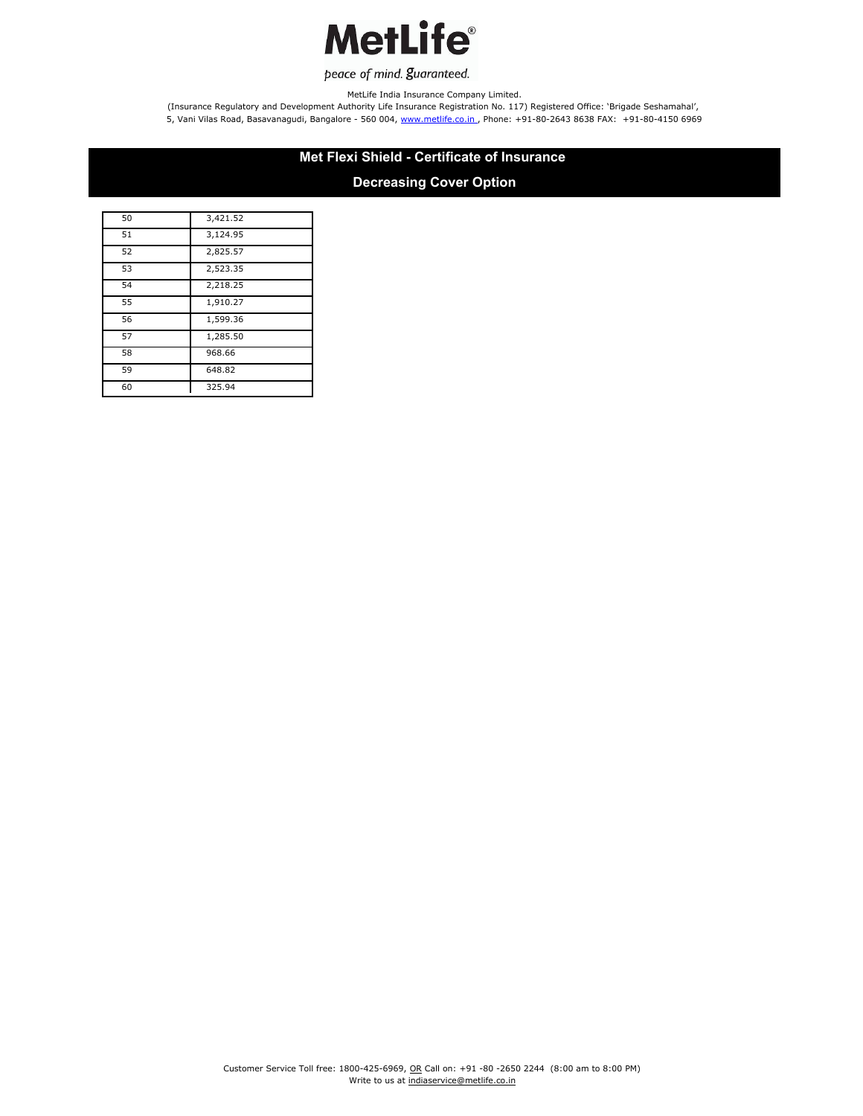

MetLife India Insurance Company Limited.

(Insurance Regulatory and Development Authority Life Insurance Registration No. 117) Registered Office: 'Brigade Seshamahal', 5, Vani Vilas Road, Basavanagudi, Bangalore - 560 004, www.metlife.co.in., Phone: +91-80-2643 8638 FAX: +91-80-4150 6969

# **Met Flexi Shield - Certificate of Insurance**

# **Decreasing Cover Option**

| 50 | 3,421.52 |
|----|----------|
| 51 | 3,124.95 |
| 52 | 2,825.57 |
| 53 | 2,523.35 |
| 54 | 2,218.25 |
| 55 | 1,910.27 |
| 56 | 1,599.36 |
| 57 | 1,285.50 |
| 58 | 968.66   |
| 59 | 648.82   |
| 60 | 325.94   |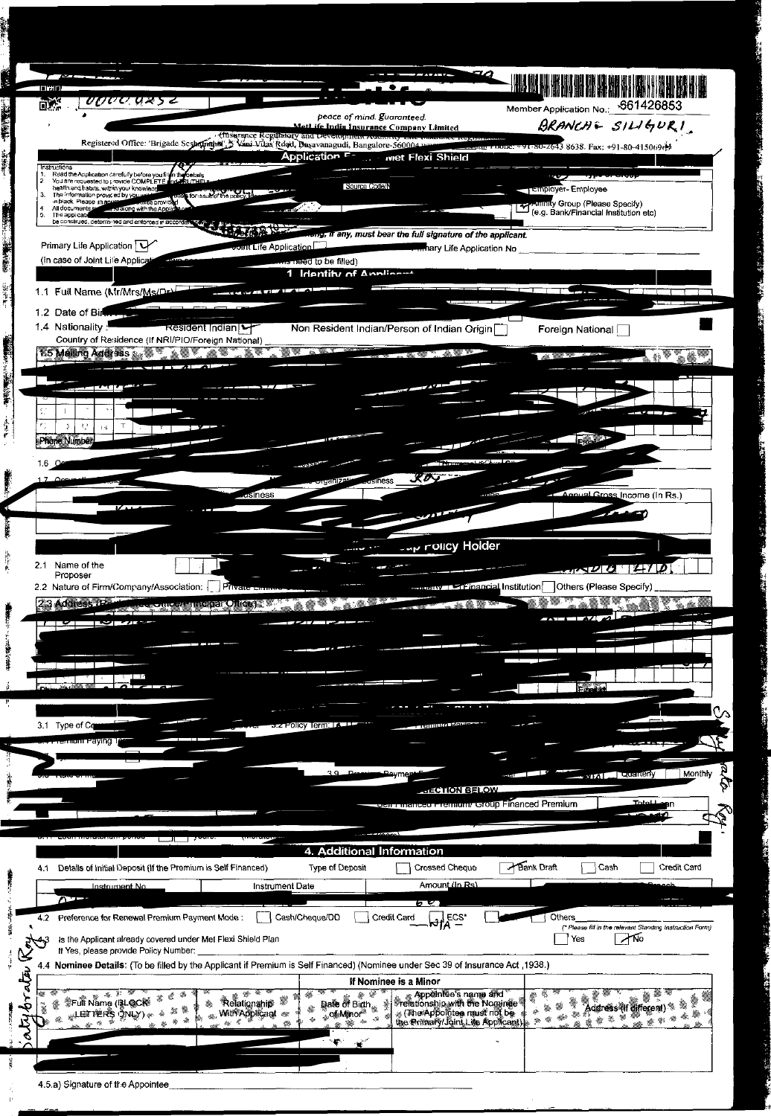

|       | <b>CONTACT UAGES</b><br>varv.<br>™₩₩₩₩<br>4. Additional Information<br>Bank Draft<br>Type of Deposit<br><b>Crossed Cheque</b><br>Credit Card<br>Details of Initial Deposit (If the Premium is Self Financed)<br>∣Cash<br>Amount (In Rs)<br><b>Instrument Date</b><br><u>Instrument No.</u><br>maach<br>6 V<br><b>Others</b><br>Cash/Cheque/DD<br>$-\overline{M}^{\text{ECS*}}_{\text{A}}$<br><b>Credit Card</b><br>Preference for Renewal Premium Payment Mode:<br>(* Please fill in the relevant Standing Instruction Form).<br>ANO<br>Yes<br>Is the Applicant already covered under Met Flexi Shield Plan<br>If Yes, please provide Policy Number:<br>4.4 Nominee Details: (To be filled by the Applicant if Premium is Self Financed) (Nominee under Sec 39 of Insurance Act, 1938.)<br>If Nominee is a Minor<br>Appointee's name and<br><b>SFull Name (BLOCK</b><br><i><b>Trefationship with the Nominae</b></i><br>Date of Birth<br>*Relationsthip®<br><b>Address (If different)</b><br><b>With Applicant</b><br>$\mathcal{L}$ (The Appointee must not be<br><b>S</b> Of Mino.<br>the Primary/Joint Life Applicant) |  |  |  |  |
|-------|--------------------------------------------------------------------------------------------------------------------------------------------------------------------------------------------------------------------------------------------------------------------------------------------------------------------------------------------------------------------------------------------------------------------------------------------------------------------------------------------------------------------------------------------------------------------------------------------------------------------------------------------------------------------------------------------------------------------------------------------------------------------------------------------------------------------------------------------------------------------------------------------------------------------------------------------------------------------------------------------------------------------------------------------------------------------------------------------------------------------------|--|--|--|--|
|       |                                                                                                                                                                                                                                                                                                                                                                                                                                                                                                                                                                                                                                                                                                                                                                                                                                                                                                                                                                                                                                                                                                                          |  |  |  |  |
|       |                                                                                                                                                                                                                                                                                                                                                                                                                                                                                                                                                                                                                                                                                                                                                                                                                                                                                                                                                                                                                                                                                                                          |  |  |  |  |
|       | 4.1                                                                                                                                                                                                                                                                                                                                                                                                                                                                                                                                                                                                                                                                                                                                                                                                                                                                                                                                                                                                                                                                                                                      |  |  |  |  |
|       |                                                                                                                                                                                                                                                                                                                                                                                                                                                                                                                                                                                                                                                                                                                                                                                                                                                                                                                                                                                                                                                                                                                          |  |  |  |  |
|       |                                                                                                                                                                                                                                                                                                                                                                                                                                                                                                                                                                                                                                                                                                                                                                                                                                                                                                                                                                                                                                                                                                                          |  |  |  |  |
|       | $4.2^{\circ}$                                                                                                                                                                                                                                                                                                                                                                                                                                                                                                                                                                                                                                                                                                                                                                                                                                                                                                                                                                                                                                                                                                            |  |  |  |  |
| ಆ     |                                                                                                                                                                                                                                                                                                                                                                                                                                                                                                                                                                                                                                                                                                                                                                                                                                                                                                                                                                                                                                                                                                                          |  |  |  |  |
|       |                                                                                                                                                                                                                                                                                                                                                                                                                                                                                                                                                                                                                                                                                                                                                                                                                                                                                                                                                                                                                                                                                                                          |  |  |  |  |
| पूर्व |                                                                                                                                                                                                                                                                                                                                                                                                                                                                                                                                                                                                                                                                                                                                                                                                                                                                                                                                                                                                                                                                                                                          |  |  |  |  |
| ⊶ີ    |                                                                                                                                                                                                                                                                                                                                                                                                                                                                                                                                                                                                                                                                                                                                                                                                                                                                                                                                                                                                                                                                                                                          |  |  |  |  |
|       |                                                                                                                                                                                                                                                                                                                                                                                                                                                                                                                                                                                                                                                                                                                                                                                                                                                                                                                                                                                                                                                                                                                          |  |  |  |  |
|       |                                                                                                                                                                                                                                                                                                                                                                                                                                                                                                                                                                                                                                                                                                                                                                                                                                                                                                                                                                                                                                                                                                                          |  |  |  |  |

<u> 1980 - Johann Barn, mars an t-Amerikaansk kommunister (</u>

4.5.a) Signature of the Appointee